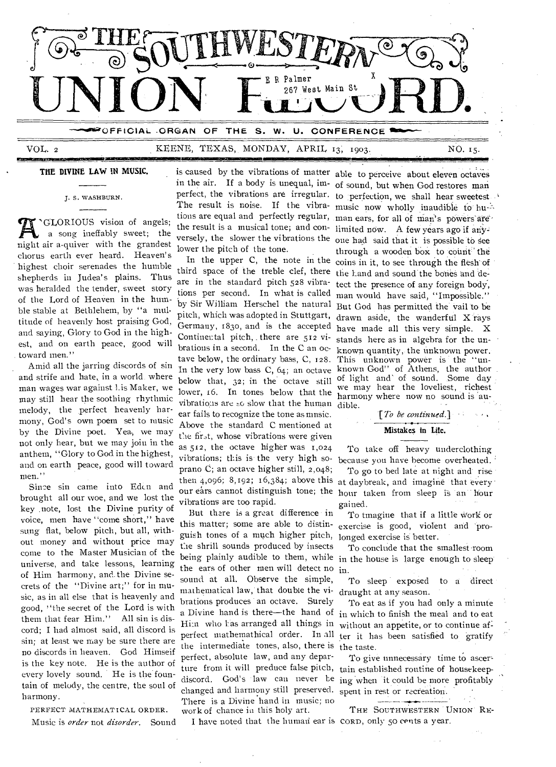

## VOL. 2 KEENE, TEXAS, MONDAY, APRIL 13, 1903. NO. 15.

#### **THE DIVINE LAW IN MUSIC.**

J. S. WASHBURN.

' night air a-quiver with the grandest `GLORIOUS vision of angels; a song ineffably sweet; the chorus earth ever heard. Heaven's highest choir serenades the humble shepherds in Judea's plains. Thus was heralded the tender, sweet story of the Lord of HeaVen in the humble stable at Bethlehem, by "a multitude of heavenly host praising God, and saying, Glory to God in the highest, and on earth peace, good will toward men."

Amid all the jarring discords of sin and strife and hate, in a world where man wages war against lis Maker, we may still hear the soothing rhythmic melody, the perfect heavenly harmony, God's own poem set to music by the Divine poet. Yea, we may not only hear, but we may join in the anthem, "Glory to God in the highest, and on earth peace, good will toward men."

Sine sin came into Edcn and brought all our woe, and we lost the key .note, lost the Divine purity of voice, men have "come short," have sung flat, below pitch, but all, without money and without price may come to the Master Musician of the universe, and take lessons, learning of Him harmony, and. the Divine secrets of the "Divine art;" for in music, as in all else that is heavenly and good, "the secret of the Lord is with them that fear Him." All sin is discord; I had almost said, all discord is sin; at least we may be sure there are no discords in heaven. God Himseif is the key note. He is the author of every lovely sound. He is the fountain of melody, the centre, the soul of harmony.

PERFECT MATHEMATICAL ORDER.

Music is *order* not *disorder.* Sound

is caused by the vibrations of matter able to perceive about eleven octaves the result is a musical tone; and con-limited now. A few years ago if ariylower the pitch of the tone.

third space of the treble clef, there the Land and sound the bones and deare in the standard pitch 528 vibra-tect the presence of any foreign body, tions per second. In what is called man would have said, "Impossible." Continental pitch, there are 512 vi-stands here as in algebra for the untave below, the ordinary bass, C, 128. This unknown power is the "unvibrations are so slow that the human dible. ear fails to recognize the tone as mnsic. Above the standard C mentioned at the first, whose vibrations were given as 512, the octave higher was 1,024 vibrations; this is the very high soprano C; an octave higher still, 2,048; our ears cannot distinguish tone; the vibrations are too rapid.

But there is a great difference in this matter; some are able to distin-exercise is good, violent and proguish tones of a much higher pitch, the shrill sounds produced by insects being plainly audible to them, while in the house is large enough to sleep the ears of other men will detect no in. sound at all. Observe the simple, mathematical law, that double the vibrations produces an octave. Surely a Divine hand is there—the hand of Him who Las arranged all things in perfect matheinathical order. In all the intermediate tones, also, there is perfect, absolute law, and any departure from it will preduce false pitch, tain established routine of housekeepdiscord. God's law can never he ing 'when it could be more profitably changed and harmony still preserved. spent in rest or recreation. There is a Divine hand in music; no work of chance in this holy art.

I have noted that the human ear is CORD, only 50 cents a year.

in the air. If a body is unequal, im-of sound, but when God restores man perfect, the vibrations are irregular. to perfection, we shall hear sweetest The result is noise. If the vibra- music now wholly inaudible to hutions are equal and perfectly regular, man ears, for all of man's powers are versely, the slower the vibrations the one had said that it is possible to see In the upper C, the note in the coins in it, to see through the flesh of by Sir William Herschel the natural But God has permitted the wail to be pitch, which was adopted in Stuttgart, drawn aside, the wanderful X rays Germany, 1830, and is the accepted have made all this very simple. X brations in a second. In the C an oc- known quantity, the unknown power. In the very low bass C, 64; an octave known God" of Athens, the author below that, 32; in the octave still of light and of sound. Some day below that,  $32$ , in the octave still we may hear the loveliest, richest lower,  $16$ . In tones below that the harmouy where now no sound is allthrough a wooden box to count the harmony where now no sound is au-

### *[To be continued.]*  **Mistakes In Life.**

To take off heavy underclothing because you have become overheated.

then 4,096; 8,192; 16,384; above this at daybreak, and imagine that every To go to bed late at night and rise hour taken from sleep is an hour gained.

> To tmagine that if a little work or longed exercise is better.

To conclude that the smallest room

To sleep exposed to a direct draught at any season.

To eat as if you had only a minute in which to finish the meal and to eat without an appetite, or to continue af: ter it has been satisfied to gratify the taste.

To give unnecessary time to ascer-

THE SOUTHWESTERN UNION RE-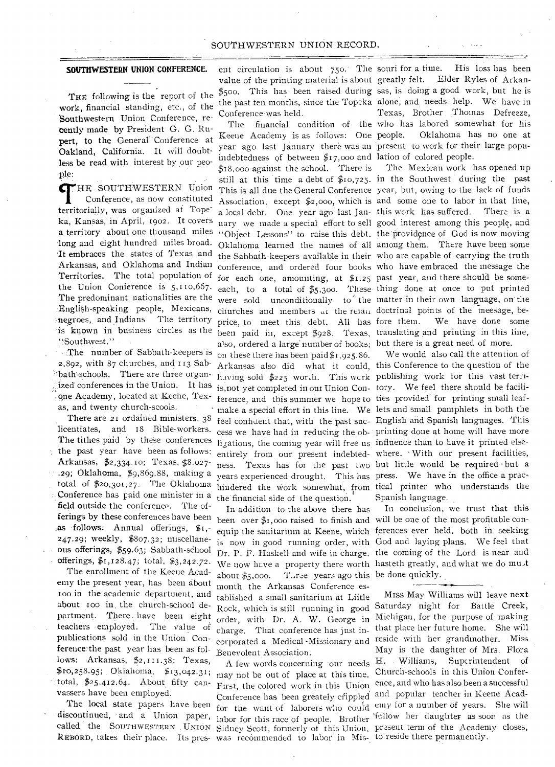#### SOUTHWESTERN UNION RECORD.

#### **SOUTHWESTERN** UNION CONFERENCE.

THE following is the report of the work, financial standing, etc., of the Southwestern Union Conference, recently made by President G. G. Rupert, to the General Conference at Oakland, California. It will doubtless be read with interest by our people:

THE SOUTHWESTERN Union<br>Conference, as now constituted<br>territorially, was organized at Tope-HE SOUTHWESTERN Union Conference, as now constituted ka, Kansas, in April, 1902. It covers long and eight hundred miles broad. It embraces the states of Texas and Arkansas, and Oklahoma and Indian Territories. The total population of the Union Conierence is 5,110,667. The predominant nationalities are the English-speaking people, Mexicans, negroes, and Indians The territory is known in business circles as the .` Southwest." .

-The number of Sabbath-keepers is 2,892, with 87 churches, and 113 Sabbath'-schools. There are three organnizeel conferences in the Union. It has ,one Academy, located at Keene, Texas, and twenty church-scools. •

There are 21 ordained ministers, 38 licentiates, and 18 Bible-workers. The tithes paid by these conferences the past year have been as follows; Arkansas, \$2,334.10; Texas, \$8.027- .29; Oklahoma, \$9,869.88, making a total of \$20,301,27. The Oklahoma : Conference has paid one minister in a field outside the conference. The offerings by these conferences have been as follows: Annual offerings,  $f_1$ ,-247.29; weekly, \$807.32; miscellaneous offerings, \$59.63; Sabbath-school offerings, \$1,128.47; total, \$3,242.72. The enrollment of the Keene Academy the present year, has been about ioo in the academic department, and about 100 in the church-school de-

partment. There. have been eight teachers employed. The value of publications sold in the Union Conference the past year has been as follows: Arkansas, \$2,111.38; Texas, \$10,258.95; Oklahoma, \$13,042.31; total,  $$25,412.64$ . About fifty canvassers have been employed.

The local state papers have been discontinued, and a Union paper, called the SOUTHWESTERN UNION Sidney Scott, formerly of this Union, present term of the Academy closes,

ent circulation is about  $750$ . The souri for a time. value of the printing material is about greatly felt. Elder Ryles of Arkan-\$500. This has been raised during sas, is doing a good work, but he is the past ten months, since the Topeka alone, and needs help. We have in Conference was held.

a territory about one thousand miles "Object Lessons" to raise this debt. the providence of God is now moving Keene Academy is as follows: One people. year ago last January there was an present to work for their large popuindebtedness of between \$17,000 and lation of colored people. \$18,000 against the school. There is Oklahoma learned the names of all among them. There have been some the Sabbath-keepers available in their who are capable of carrying the truth conference, and ordered four books who have embraced the message the for each one, amounting, at \$1.25 past year, and there should be someeach, to a total of \$5,300. These thing done at once to put printed were sold unconditionally to the matter in their own language, on the churches and members at the retail doctrinal points of the meesage, beprice, to meet this debt. All has fore them. been paid in, except \$928. Texas, translating and printing in this line, also, ordered a large number of books; but there is a great need of more. on these there has been paid \$1,925.86. Arkansas also did what it could, this Conference to the question of the having sold \$225 worth. This work publishing work for this vast terriis, not yet completed in our Union Con- tory. We feel there should be faciliference, and this summer we hope to ties provided for printing small leafcess we have had in reducing the ob-printing done at home will have more ligations, the coming year will free us influence than to have it printed elseentirely from our present indebted-where. • With our present facilities, ness. Texas has for the past two but little would be required • but a years experienced drought. This has press. We have in the office a prachindered the work somewhat,. from tical printer who understands the the financial side of the question.

> In addition to the above there has been over \$1,000 raised to finish and will be one of the most profitable conabout  $\frac{6}{5}$ ,000. Three years ago this be done quickly. month the Arkansas Conference established a small sanitarium at Liitle Rock, which is still running in good order, with Dr. A. W. George in charge. That conference has just in-Benevolent Association.

REBORD, takes their place. Its pres-was recommended to labor in Mis-to reside there permanently. may not be out of place at this time. Conference has been greately efippled and popular teacher in Keene Acad-

The financial condition of the who has labored somewhat for his His loss has been Texas, Brother. Thomas Defreeze, Oklahoma has no one at

still at this time a debt of \$10,725. in the Southwest during the past This is all due the General Conference year, but, owing to.the lack of funds Association, except \$2,000, which is and some one to labor in that line, a local debt. One year ago last Jan-this work has suffered. There is a uary we made a special effort to sell good interest among this people, and The Mexican work has opened up We have done some

make a special effort in this line. We lets and small pamphlets in both the feel confident that, with the past suc-English and Spanish languages. This We would also call the attention of Spanish language.

equip the sanitarium at Keene, which ferences ever held, both in' seeking is now in good running order, with God and laying plans. We feel that Dr. P. F. Haskell and wife in charge. the coming of the Lord is near and We now have a property there worth hasteth greatly, and what we do must In conclusion, we trust that this

corporated a Medical -Missionary and reside with her grandmother. Miss A few words concerning -our needs H. Williams, Superintendent of First, the colored work in this Union, ence, and who has also been a successful for the want of laborers who could emy for a number of years. She will labor for this race of people. Brother 'follow her daughter as soon as the Miss May Williams Will leave next Saturday night for Battle Creek, Michigan, for the purpose of making that place her future home. She will May is the daughter of Mrs. Flora Church-schools in this Union Confer-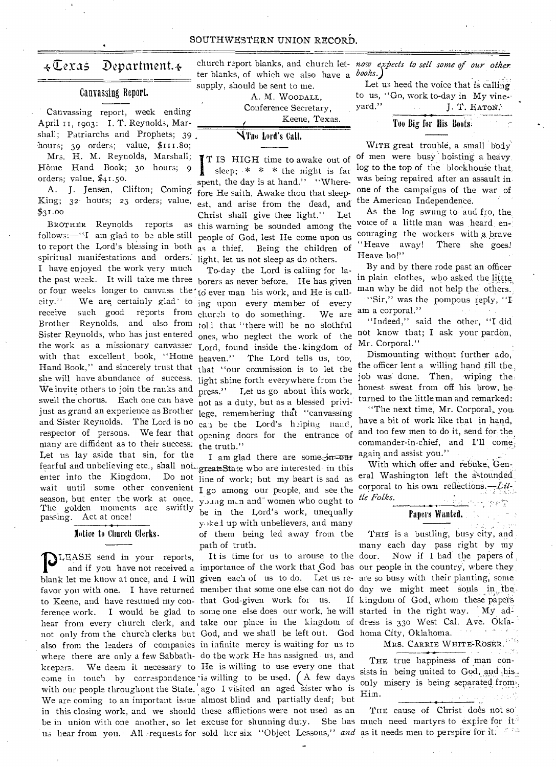#### SOUTHWESTERN UNION RECORD.

### $\overline{\star}$ Texas Department. $\overline{\star}$

#### Canvassing Report.

Canvassing report, week ending April II, 1903: I. T. Reynolds, Marshall; Patriarchs and Prophets; 39 hours; 39 orders; value, \$111.80; Mrs. H. M. Reynolds, Marshall; Home Hand Book; 3o hours; 9 orders; value, \$41.50.

• A. J. Jensen, Clifton; Coming King; 32. hours; 23 orders; value,  $$31.00$ 

BROTHER Reynolds reports as follows:—"I am glad to be able still to report the Lord's blessing in both to report the Lord's blessing in both  $_{as}$  a thief.<br>spiritual manifestations and orders. light let us I have enjoyed the work very much the past week. It will take me three borers as never before. He has given the work as a missionary canvasser Lord, found inside the .kingdom of with that excellent book, "Home heaven." The Lord tells us, too, Hand Book," and sincerely trust that that "our commission is to let the she will have abundance of success. light shine forth everywhere from the We invite others to join the ranks and  $\frac{1}{2}$  press." Let us go about this work, swell the chorus. Each one can have not as a duty, but as a blessed privijust as grand an experience as Brother lege, remembering that "canvassing and Sister Reynolds. The Lord is no can be the Lord's helping nand, respector of persons. We fear that opening doors for the entrance of many are diffident as to their success: Let us lay aside that sin, for the fearful and unbelieving etc., shall not great State who are interested in this enter into the Kingdom. Do not line of work; but my heart is sad as season, but enter the work at once. young m.n and women who ought to The golden moments are swiftly passing. Act at once! or four weeks longer to canvass the to ever man his work, and He is call-<br>city." We are certainly glad to  $\frac{1}{100}$  upon every member of every city." We are certainly glad to ing upon every member of every receive such good reports from church to do something. We are Brother Reynolds, and also from  $tol$  that "there will be no slothful<br>Sister Reynolds, who has just entered ones who neglect the work of the

#### Notiee to Church Clerks.

**P**LEASE send in your reports,<br>and if you have not received a<br>blank let me know at once and I will to Keene, and have resumed my con-that God-given work for us. If hear from every church clerk, and take our place in the kingdom of dress is 330 West Cal. Ave. Oklanot only from the church clerks but God, and we shall be left out. God homa City, Oklahoma. also from the leaders of companies in infinite mercy is waiting for us to where there are only a few Sabbath-do the work He has assigned us, and keepers. We deem it necessary to He is willing to use every one that come in touch by correspondence is willing to be used.  $(A \text{ few days})$ with our people throughout the State. ago I visited an aged sister who is We are coming to an important issue almost blind and partially deaf; but in this closing work, and we should these afflictions were not used as an

church report blanks, and church let- now expects to sell some of our other *books.)*  ter blanks, of which we also have a supply, should be sent to me.

> A. M. WOODALL, Conference Secretary,<br>
> Keene, Texas.

klne Lord's Call.

I T IS HIGH time to awake out of sleep;  $* * *$  the night is far spent, the day is at hand." "Wherefore He saith, Awake thou that sleepest, and arise from the dead, and Christ shall give thee light." Let this warning be sounded among the people of.God, lest He come upon us Being the children of light, let us not sleep as do others.

To-day the Lord is calling for lathe truth." reports from church to do something. We are ones, who neglect the work of the

wait until some other convenient I go among our people, and see the I am glad there are some<sub> $\sin$ </sub>- $\cos$ be in the Lord's work, unequally y.)k-el up with unbelievers, and many of them being led away from the path of truth.

us hear from you. All requests for sold her six "Object Lessous," and as it needs men to perspire for it. It is time for us to arouse to the door.

Let us heed the voice that is calling

to us, "Go, work to-day in My vineyard." J. T. EATON.

## Too Big for His Boots:

WITH great trouble, a small body of men were busy hoisting a heavy log to the top of the blockhouse that, was being repaired after an assault inone of the campaigns of the war of the American Independence.

As the log swung to and fro, the, voice of a little man was heard encouraging the workers with a. brave "Heave away! There she goes! Heave ho!"

By and by there rode past an officer in plain clothes, who asked the littte man why he did not help the others.. "Sir," was the pompous reply, "I am a corporal."

"Indeed," said the other, "I did not know that; I ask your pardon, Mr. Corporal."

Dismounting without further ado, the officer lent a willing hand till the., job was done. Then, wiping the honest sweat from off his brow, he turned to the little man and remarked:

"The next time, Mr. Corporal, you. have a bit of work like that in hand, and too few men to do it, send for the. commander-in-chief, and I'll come again and assist you."

With which offer and rebuke, General Washington left the astounded corporal to his own reflections. $-Lit$ *tie Folks.* 

## Papers Wanted..

and if you have not received a importance of the work that God has our people in the country, where they blank let me know at once, and I will given each of us to do. Let us re- are so busy with their planting, some favor you with one. I have returned member that some one else can not do day we might meet souls in the. ference work. I would be glad to some one else does our work, he will started in the right way. My ad-THIS is a bustling, busy city, and many each day pass right by my Now if I had the papers of . If kingdom of God, whom these papers

MRS. CARRIE WHITE-ROSER.

THE true happiness of man consists in being united to God, and his. only misery is being separated from' Him.

be in union with one another, so let excuse for shunning duty. She has much need martyrs to expire for it. THE cause of Christ does not so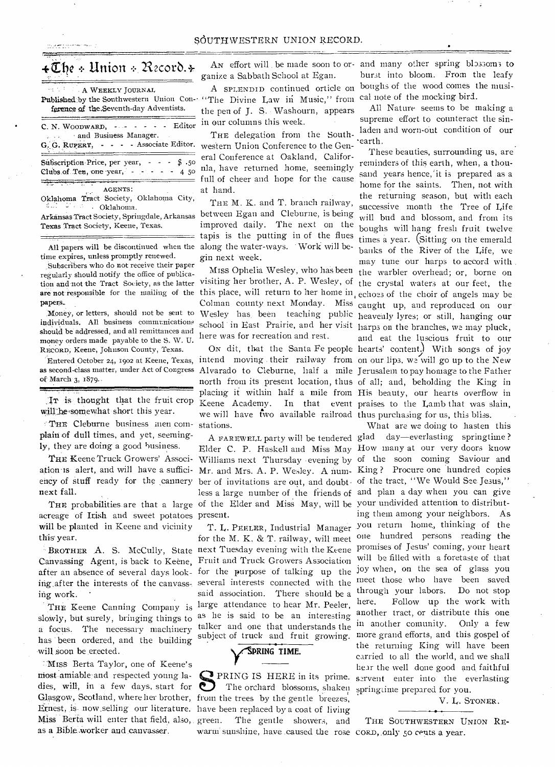# 4 $\mathbf{\mathcal{I}}$ he + Union + Record.4-

A WEEKLY JOURNAL

ference of the Seventh-day Adventists.

C. N. WOODWARD,  $\cdots$   $\cdots$   $\cdots$   $\cdots$  Editor and Business Manager. G. G. RUPERT, - - - Associate Editor.  $-$  \$ .50 Subscription Price, per year, Clubs.of Ten, one year, -AGENTS :

Oklahoma Tract Society, Oklahoma City, • • Oklahoma.

Arkansas Tract Society, Springdale, Arkansas Texas Tract Society, Keene, Texas.

All papers will be discontinued when the time expires, unless promptly renewed.

.Subscribers who do not receive their paper regularly should notify the office of publication and not the Tract Society, as the latter papers.

Money, or letters, should not be sent to individuals. All business communications should be addressed, and all remittances and money orders made payable to the S. W. U. RECORD, Keene, Johnson County, Texas.

as second-class matter, under Act of Congress of March 3, 1579..

IT is thought that the fruit crop will be somewhat short this year.

'THE Cleburne business men complain-of dull times, and yet, seemingly, they are doing a good business.

THE Keene Truck Growers' Association is alert, and will have a sufficiency of stuff ready for the cannery next fall.

acreage of Irish and sweet potatoes present. will be planted in Keene and vicinity this year.

Canvassing Agent, is back to Keene, Fruit and Truck Growers Association after an absence of several days look-for the purpose of talking up the ing.after the interests of the canvass-. several interests connected with the ing work.

slowly, but surely, bringing things to as he is said to be an interesting has been ordered, and the building will soon be erected.

IMISS Berta Taylor, one of Keene's most-amiable and respected young lamost amiable and respected young la-<br>dies, will, in a few days, start for The orchard blossoms, shaken springtime prepared for you. Glasgow, Scotland, where her brother, from the trees by the gentle breezes, Ernest, is- now.selling our literature. have been replaced by a coat of living Miss Berta will enter that field, also, green. as a Bible worker and canvasser.

ganize a Sabbath School at Egan.

Published by the Southwestern Union Con- "The Divine Law in Music," from A SPLENDID continued orticle on the pen of J. S. Washourn, appears in our columns this week.

> at hand. THE delegation from the Southwestern Union Conference to the General Conference at Oakland, Califor- $\frac{4}{4}$   $\frac{5}{50}$  nla, have returned home, seemingly full of cheer and hope for the cause

> > THE M. K. and T. branch railway, between Egan and Cleburne, is being improved daily. The next on the tapis is the putting in of the flues along the water-ways. Work will begin next week.

are not responsible for the mailing of the this place, will return to her home in, echoes of the choir of angels may be Miss Ophelia Wesley, who has been visiting her brother, A. P. Wesley, of the crystal waters at our feet, the Colman county next Monday. Miss caught up, and reproduced on our Wesley has. been teaching public heavenly lyres; or still, hanging our school in East Prairie, and her visit harps on the branches, we may pluck, here was for recreation and rest.

Entered October 24, 1902 at Keene, Texas, intend moving their railway from on our lips, we will go up to the New Alvarado to Cleburne, half a mile Jerusalem to pay homage to the Father north from its present location, thus of all; and, beholding the King in placing it within half a mile from His beauty, our hearts overflow in .<br>Keene Academy. In that event praises to the Lamb that was slain, we will have two available railroad thus purchasing for us, this bliss. stations.

THE probabilities are that a large of the Elder and Miss May, will be your undivided attention to distributber of invitations are out, and doubt-of the tract, "We Would See. Jesus," less a large number of the friends of and plan a day when you can give

BROTHER A. S. McCully, State next Tuesday evening with the Keene THE Keene Canning Company is large attendance to hear Mr. Peeler, a focus. The necessary machinery talker and one that understands the for the M. K. & T. railway, will meet said association. There should be a subject of truck and fruit growing.

# **y 'SPRING TIME.**

The gentle showers, and warm sunshine, have caused the rose CORD, only 50 cents a year.

An effort will be made soon to or- and many other spring blossoms to burst into bloom. From the leafy boughs of the wood comes the musical note of the mocking bird.

> All Nature seems to be making a supreme effort to counteract the sinladen and worn-out condition of our 'earth.

ON dit, that the Santa Fe people hearts' content) With songs of joy These beauties, surrounding us, are reminders of this earth, when, a thousand years hence,'it is prepared as a home for the saints. Then, not with the returning season, but with each successive month the Tree of Life will bud and blossom, and from its boughs will hang fresh fruit twelve times a year. (Sitting on the emerald banks of the River of the Life, we may tune our harps to accord with . the warbler overhead; or, borne on and eat the luscious fruit to our

A FAREWELL party will be tendered glad day—everlasting springtime ? Elder C. P. Haskell and Miss May How many at our very doors know Williams next Thursday evening by of the soon coming Saviour and Mr. and Mrs. A. P. Wesley. A num-King ? Procure one hundred copies T. L. PEELER, Industrial Manager you return home., thinking of the PRING IS HERE in its prime. servent enter into the everlasting What are we doing to hasten this ing them among your neighbors. As one hundred persons reading the promises of Jesus' coming, your heart will be filled with a foretaste of that joy when, on the sea of glass you meet those who have been saved through your labors. Do not stop here. Follow up the work with another tract, or distribute this one in another comunity. Only a few more grand efforts, and this gospel of the returning King will have been carried to all the world, and we shall hear the well done good and faithful

V. L. STONER.

THE SOUTHWESTERN UNION RE-

•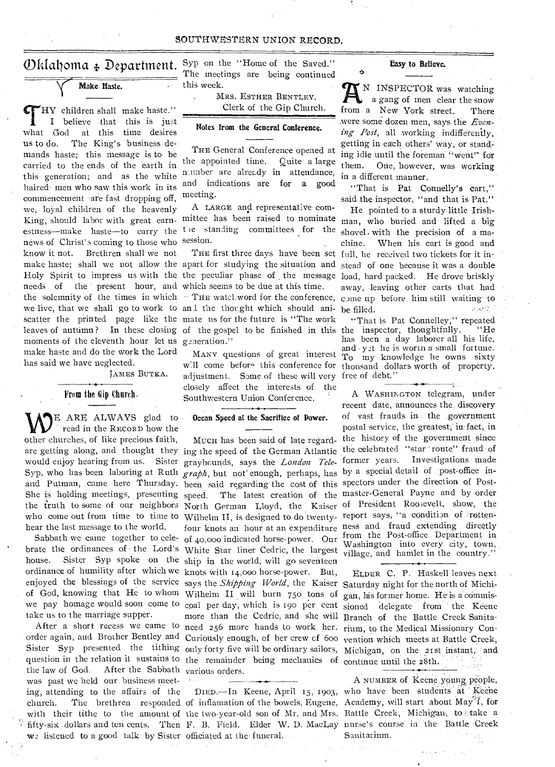#### SOUTHWESTERN UNION RECORD.

Make Haste.

THY children shall make haste."<br>
I believe that this is just<br>
what God at this time desires HY children shall make haste." I believe that this is just us to do. The King's business demands haste; this message is to be carried to the ends of the earth in this generation; and as the white haired men who saw this work in its commencement are fast dropping off, we, loyal children of the heavenly news of Christ's coming to those who session. know it riot. Brethren shall we not needs of the present hour, and which seems to be due at this time. moments of the eleventh hour let us generation." make haste and do the work the Lord has said we have neglected.

JAMES BUTKA.

#### From the Gip-Church-

LE ARE ALWAYS glad to read in the RECORD how the other churches, of like precious faith, are getting along, and thought they, would enjoy hearing from us. Sister hear the last message to the world.

Sabbath we came together to celebrate the ordinances of . the Lord's house. Sister Syp spoke on the ordinance of humility after which we enjoyed the blessings of the service take us to the marriage supper.

the law of God. After the Sabbath various orders. was past we held our business meeting, attending to the affairs of the DIED. In Keene, April 15, 1903, who have been students at Keene church. The brethren responded of inflamation of the bowels, Eugene, Academy, will start about May<sup>9</sup>i, for with their tithe to the amount of the two-year-old son of Mr. and Mrs. Battle Creek, Michigan, to take a fifty-six dollars and ten cents. Then F. B. Field. Elder W. D. MacLay nurse's course in the Battle Creek listened to a good talk by Sister officiated at the funeral.

Oklahoma  $\oint$  Department. Syp on the "Home of the Saved." Easy to Believe. Syp on the "Home of the Saved." The meetings are being continued this week.

> MRS. ESTHER BENTLEY. Clerk of the Gip Church.

#### Notes from the General Conference.

NSW

THE General Conference opened at the appointed time. Quite a large nimber are already in attendance, and indications are for a good meeting.

King, should labor with great earn-mittee has been raised to nominate estness—make haste—to carry the the standing committees for the A LARGE and representative com-

make haste; shall we not allow the apart for studying the situation and Holy Spirit to impress us with the the peculiar phase of the message the solemnity of the times in which "THE watcl word for the conference, come up before him still waiting to we live, that we shall go to work to and the thought which should ani- be filled. scatter the printed page like the mate us for the future is "The work leaves of autumn? In these closing of the gospel to be finished in this the inspector, thoughtfnlly. "He

> w.11 come befor<sup>o</sup> this conference for thousand dollars worth of property, adjustment. Some of these will very free of debt.'' closely affect the interests of the Southwestern Union Conference.

### Ocean Speed at the Sacrifice of Power.

Syp, who has been laboring at Ruth *graph*, but not enough, perhaps, has by a special detail of post-office inand Putman, came here Thursday. been said regarding the cost of this spectors under the direction of Post-She is holding meetings, presenting speed. The latest creation of the master-General Payne and by order the truth to some of our neighbors North German Lloyd, the Kaiser of President Roosevelt, show, the who come out from time to time to Wilhelm II, is designed to do twenty- report says, "a condition of rottenof God, knowing that He to whom Wilhelm II will burn 750 tons of gan, his former home. He is a commiswe pay homage would soon come to coal per day, which is 190 per cent sioned delegate from the Keene After a short recess we came to need 256 more hands to work her. rium, to the Medical Missionary Conorder again, and Brother Bentley and Curiously enough, of her crew of 600 vention which meets at Battle Creek, Sister Syp presented the tithing only forty five will be ordinary sailors, Michigan, on the 21st instant, and question in the relation it sustains to the remainder being mechanics of continue until the 28th. MUCH has been said of late regarding the speed of the German Atlantic grayhcunds, says the *London Tele*four knots an hour at an expenditure ness and fraud extending directly ship in the world, will go seventeen knots with 14,000 horse-power. But, says the *Shipping World*, the Kaiser Saturday night for the north of Michimore than the Cedric, and she will Branch of the Battle Creek Sanita-

N INSPECTOR was watching a gang of men clear the snow from a New York street. There .were some dozen men, says the *Even*ing Post, all working indifferently, getting in each others' way, or stand, ing idle until the foreman "Went" for them. One, however, was working in a different manner.

"That is Pat Connelly's cart," said the inspector, "and that is Pat."

THE first three days have been set full, he received two tickets for it in-He pointed to a sturdy little Irishman, who buried and lifted a big shovel, with the precision of a machine. When his cart is good and stead of one because it was a double load, hard packed. He drove briskly away, leaving other carts that had

MANY questions of great interest  $T_0$  my knowledge he owns sixty "That is Pat Connelley," repeated has been a day laborer all his life, and  $y$ t he is worth a small fortune.

of 40,000 indicated horse-power. Our from the Post-office Department in White Star liner Cedric, the largest washington into every city, town, A WASHINGTON telegram, under recent date, announces the. discovery of vast frauds in the government postal service, the greatest, in fact, in the history of the government since the celebrated "star route" fraud of former years. Investigations made Washington into every city, town,

ELDER C. P. Haskell leaves next

A NUMBER of Keene young people, Sanitarium.